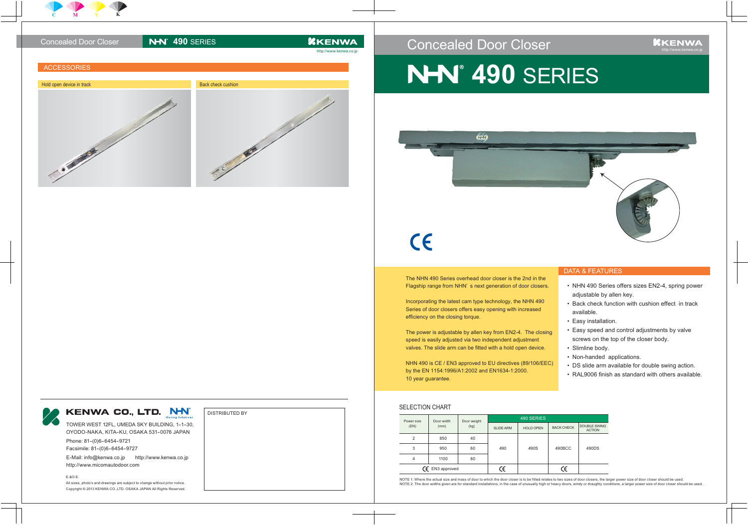### Concealed Door Closer

# **NHV 490 SERIES**



## $\epsilon$

The NHN 490 Series overhead door closer is the 2nd in Flagship range from NHN's next generation of door cl



| in the   |
|----------|
| :losers. |

DISTRIBUTED BY

TOWER WEST 12FL, UMEDA SKY BUILDING, 1-1-30, OYODO-NAKA, KITA-KU, OSAKA 531-0076 JAPAN

Phone: 81-(0)6-6454-9721 Facsimile: 81-(0)6-6454-9727

## Concealed Door Closer **NHV**<sup> $490$ </sup> SERIES *AKENWA* http://www.kenwa.co.jp **ACCESSORIES** Hold open device in track Back check cushion Back check cushion

E-Mail: info@kenwa.co.jp http://www.kenwa.co.jp http://www.micomautodoor.com

E.&O.E.

All sizes, photo's and drawings are subject to change without prior notice. Copyright © 2013 KENWA CO.,LTD. OSAKA JAPAN All Rights Reserved.

#### DATA & FEATURES

Incorporating the latest cam type technology, the NHN 490 Series of door closers offers easy opening with increased efficiency on the closing torque.

- NHN 490 Series offers sizes EN2-4, spring power adjustable by allen key.
- Back check function with cushion effect in track available.
- Easy installation.
- Easy speed and control adjustments by valve screws on the top of the closer body.
- Slimline body.
- Non-handed applications.
- DS slide arm available for double swing action. •
- RAL9006 finish as standard with others available. •

The power is adjustable by allen key from EN2-4. The closing speed is easily adjusted via two independent adjustment valves. The slide arm can be fitted with a hold open device.

NHN 490 is CE / EN3 approved to EU directives (89/106/EEC) by the EN 1154:1996/A1:2002 and EN1634-1:2000. 10 year guarantee.

#### SELECTION CHART

| Power size<br>(EN)         | Door width<br>(mm) | Door weight<br>(kg) | 490 SERIES       |                  |                   |                                      |
|----------------------------|--------------------|---------------------|------------------|------------------|-------------------|--------------------------------------|
|                            |                    |                     | <b>SLIDE ARM</b> | <b>HOLD OPEN</b> | <b>BACK CHECK</b> | <b>DOUBLE SWING</b><br><b>ACTION</b> |
| $\overline{2}$             | 850                | 40                  |                  |                  |                   |                                      |
| 3                          | 950                | 60                  | 490              | 490S             | 490BCC            | 490DS                                |
| 4                          | 1100               | 80                  |                  |                  |                   |                                      |
| $\mathsf{CE}$ EN3 approved |                    | ٦                   |                  | ۴                |                   |                                      |

NOTE 1: Where the actual size and mass of door to which the door closer is to be fitted relates to two sizes of door closers, the larger power size of door closer should be used. NOTE 2: The door widths given are for standard installations, in the case of unusually high or heavy doors, windy or draughty conditions, a larger power size of door closer should be used.



### KENWA CO., LTD. NH